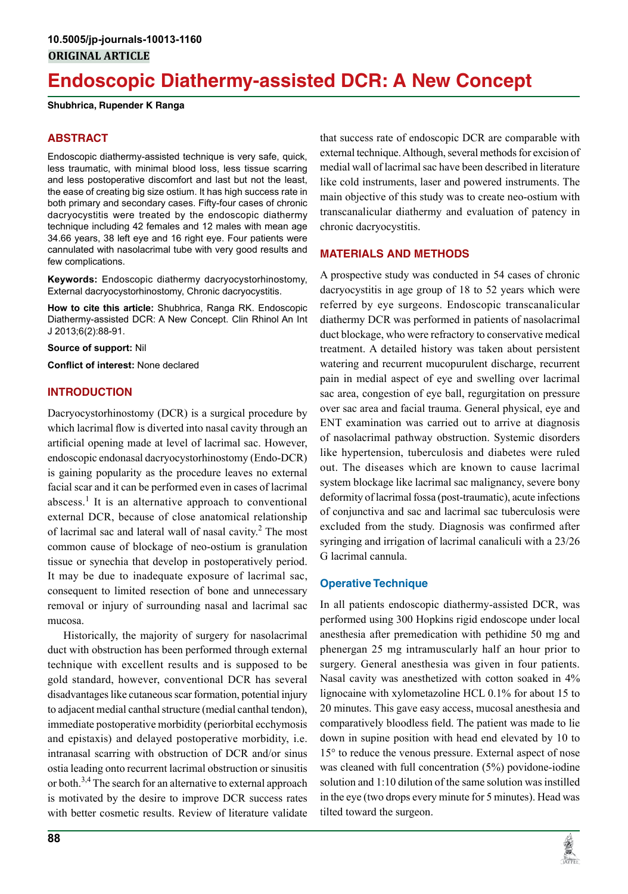# **Endoscopic Diathermy-assisted DCR: A New Concept**

**Shubhrica, Rupender K Ranga**

### **ABSTRACT**

Endoscopic diathermy-assisted technique is very safe, quick, less traumatic, with minimal blood loss, less tissue scarring and less postoperative discomfort and last but not the least, the ease of creating big size ostium. It has high success rate in both primary and secondary cases. Fifty-four cases of chronic dacryocystitis were treated by the endoscopic diathermy technique including 42 females and 12 males with mean age 34.66 years, 38 left eye and 16 right eye. Four patients were cannulated with nasolacrimal tube with very good results and few complications.

**Keywords:** Endoscopic diathermy dacryocystorhinostomy, External dacryocystorhinostomy, Chronic dacryocystitis.

**How to cite this article:** Shubhrica, Ranga RK. Endoscopic Diathermy-assisted DCR: A New Concept. Clin Rhinol An Int J 2013;6(2):88-91.

**Source of support:** Nil

**Conflict of interest:** None declared

#### **Introduction**

Dacryocystorhinostomy (DCR) is a surgical procedure by which lacrimal flow is diverted into nasal cavity through an artificial opening made at level of lacrimal sac. However, endoscopic endonasal dacryocystorhinostomy (Endo-DCR) is gaining popularity as the procedure leaves no external facial scar and it can be performed even in cases of lacrimal abscess.<sup>1</sup> It is an alternative approach to conventional external DCR, because of close anatomical relationship of lacrimal sac and lateral wall of nasal cavity.<sup>2</sup> The most common cause of blockage of neo-ostium is granulation tissue or synechia that develop in postoperatively period. It may be due to inadequate exposure of lacrimal sac, consequent to limited resection of bone and unnecessary removal or injury of surrounding nasal and lacrimal sac mucosa.

Historically, the majority of surgery for nasolacrimal duct with obstruction has been performed through external technique with excellent results and is supposed to be gold standard, however, conventional DCR has several disadvantages like cutaneous scar formation, potential injury to adjacent medial canthal structure (medial canthal tendon), immediate postoperative morbidity (periorbital ecchymosis and epistaxis) and delayed postoperative morbidity, i.e. intranasal scarring with obstruction of DCR and/or sinus ostia leading onto recurrent lacrimal obstruction or sinusitis or both.<sup>3,4</sup> The search for an alternative to external approach is motivated by the desire to improve DCR success rates with better cosmetic results. Review of literature validate

that success rate of endoscopic DCR are comparable with external technique. Although, several methods for excision of medial wall of lacrimal sac have been described in literature like cold instruments, laser and powered instruments. The main objective of this study was to create neo-ostium with transcanalicular diathermy and evaluation of patency in chronic dacryocystitis.

#### **MATERIALS AND METHODS**

A prospective study was conducted in 54 cases of chronic dacryocystitis in age group of 18 to 52 years which were referred by eye surgeons. Endoscopic transcanalicular diathermy DCR was performed in patients of nasolacrimal duct blockage, who were refractory to conservative medical treatment. A detailed history was taken about persistent watering and recurrent mucopurulent discharge, recurrent pain in medial aspect of eye and swelling over lacrimal sac area, congestion of eye ball, regurgitation on pressure over sac area and facial trauma. General physical, eye and ENT examination was carried out to arrive at diagnosis of nasolacrimal pathway obstruction. Systemic disorders like hypertension, tuberculosis and diabetes were ruled out. The diseases which are known to cause lacrimal system blockage like lacrimal sac malignancy, severe bony deformity of lacrimal fossa (post-traumatic), acute infections of conjunctiva and sac and lacrimal sac tuberculosis were excluded from the study. Diagnosis was confirmed after syringing and irrigation of lacrimal canaliculi with a 23/26 G lacrimal cannula.

## **Operative Technique**

In all patients endoscopic diathermy-assisted DCR, was performed using 300 Hopkins rigid endoscope under local anesthesia after premedication with pethidine 50 mg and phenergan 25 mg intramuscularly half an hour prior to surgery. General anesthesia was given in four patients. Nasal cavity was anesthetized with cotton soaked in 4% lignocaine with xylometazoline HCL 0.1% for about 15 to 20 minutes. This gave easy access, mucosal anesthesia and comparatively bloodless field. The patient was made to lie down in supine position with head end elevated by 10 to 15° to reduce the venous pressure. External aspect of nose was cleaned with full concentration (5%) povidone-iodine solution and 1:10 dilution of the same solution was instilled in the eye (two drops every minute for 5 minutes). Head was tilted toward the surgeon.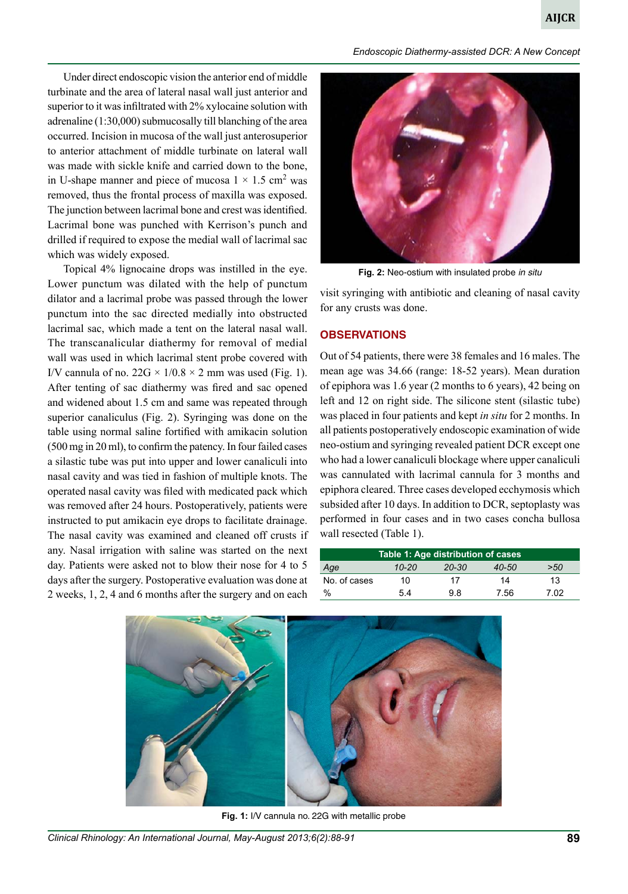*Endoscopic Diathermy-assisted DCR: A New Concept*

Under direct endoscopic vision the anterior end of middle turbinate and the area of lateral nasal wall just anterior and superior to it was infiltrated with 2% xylocaine solution with adrenaline (1:30,000) submucosally till blanching of the area occurred. Incision in mucosa of the wall just anterosuperior to anterior attachment of middle turbinate on lateral wall was made with sickle knife and carried down to the bone, in U-shape manner and piece of mucosa  $1 \times 1.5$  cm<sup>2</sup> was removed, thus the frontal process of maxilla was exposed. The junction between lacrimal bone and crest was identified. Lacrimal bone was punched with Kerrison's punch and drilled if required to expose the medial wall of lacrimal sac which was widely exposed.

Topical 4% lignocaine drops was instilled in the eye. Lower punctum was dilated with the help of punctum dilator and a lacrimal probe was passed through the lower punctum into the sac directed medially into obstructed lacrimal sac, which made a tent on the lateral nasal wall. The transcanalicular diathermy for removal of medial wall was used in which lacrimal stent probe covered with I/V cannula of no.  $22G \times 1/0.8 \times 2$  mm was used (Fig. 1). After tenting of sac diathermy was fired and sac opened and widened about 1.5 cm and same was repeated through superior canaliculus (Fig. 2). Syringing was done on the table using normal saline fortified with amikacin solution (500 mg in 20 ml), to confirm the patency. In four failed cases a silastic tube was put into upper and lower canaliculi into nasal cavity and was tied in fashion of multiple knots. The operated nasal cavity was filed with medicated pack which was removed after 24 hours. Postoperatively, patients were instructed to put amikacin eye drops to facilitate drainage. The nasal cavity was examined and cleaned off crusts if any. Nasal irrigation with saline was started on the next day. Patients were asked not to blow their nose for 4 to 5 days after the surgery. Postoperative evaluation was done at 2 weeks, 1, 2, 4 and 6 months after the surgery and on each



**Fig. 2:** Neo-ostium with insulated probe *in situ*

visit syringing with antibiotic and cleaning of nasal cavity for any crusts was done.

#### **OBSERVATIONS**

Out of 54 patients, there were 38 females and 16 males. The mean age was 34.66 (range: 18-52 years). Mean duration of epiphora was 1.6 year (2 months to 6 years), 42 being on left and 12 on right side. The silicone stent (silastic tube) was placed in four patients and kept *in situ* for 2 months. In all patients postoperatively endoscopic examination of wide neo-ostium and syringing revealed patient DCR except one who had a lower canaliculi blockage where upper canaliculi was cannulated with lacrimal cannula for 3 months and epiphora cleared. Three cases developed ecchymosis which subsided after 10 days. In addition to DCR, septoplasty was performed in four cases and in two cases concha bullosa wall resected (Table 1).

| Table 1: Age distribution of cases |           |           |       |      |
|------------------------------------|-----------|-----------|-------|------|
| Age                                | $10 - 20$ | $20 - 30$ | 40-50 | >50  |
| No. of cases                       | 10        | 17        | 14    | 13   |
| $\%$                               | 54        | 9 R       | 7.56  | 7 N2 |



**Fig. 1:** I/V cannula no. 22G with metallic probe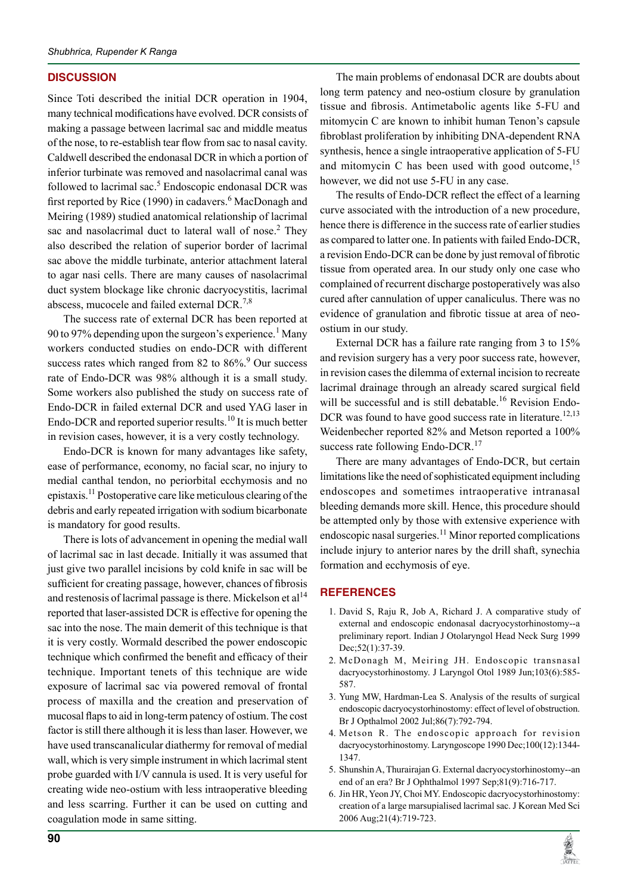## **DISCUSSION**

Since Toti described the initial DCR operation in 1904, many technical modifications have evolved. DCR consists of making a passage between lacrimal sac and middle meatus of the nose, to re-establish tear flow from sac to nasal cavity. Caldwell described the endonasal DCR in which a portion of inferior turbinate was removed and nasolacrimal canal was followed to lacrimal sac.<sup>5</sup> Endoscopic endonasal DCR was first reported by Rice (1990) in cadavers.<sup>6</sup> MacDonagh and Meiring (1989) studied anatomical relationship of lacrimal sac and nasolacrimal duct to lateral wall of nose.<sup>2</sup> They also described the relation of superior border of lacrimal sac above the middle turbinate, anterior attachment lateral to agar nasi cells. There are many causes of nasolacrimal duct system blockage like chronic dacryocystitis, lacrimal abscess, mucocele and failed external DCR.<sup>7,8</sup>

The success rate of external DCR has been reported at 90 to 97% depending upon the surgeon's experience.<sup>1</sup> Many workers conducted studies on endo-DCR with different success rates which ranged from 82 to 86%.<sup>9</sup> Our success rate of Endo-DCR was 98% although it is a small study. Some workers also published the study on success rate of Endo-DCR in failed external DCR and used YAG laser in Endo-DCR and reported superior results.<sup>10</sup> It is much better in revision cases, however, it is a very costly technology.

Endo-DCR is known for many advantages like safety, ease of performance, economy, no facial scar, no injury to medial canthal tendon, no periorbital ecchymosis and no epistaxis.<sup>11</sup> Postoperative care like meticulous clearing of the debris and early repeated irrigation with sodium bicarbonate is mandatory for good results.

There is lots of advancement in opening the medial wall of lacrimal sac in last decade. Initially it was assumed that just give two parallel incisions by cold knife in sac will be sufficient for creating passage, however, chances of fibrosis and restenosis of lacrimal passage is there. Mickelson et  $al<sup>14</sup>$ reported that laser-assisted DCR is effective for opening the sac into the nose. The main demerit of this technique is that it is very costly. Wormald described the power endoscopic technique which confirmed the benefit and efficacy of their technique. Important tenets of this technique are wide exposure of lacrimal sac via powered removal of frontal process of maxilla and the creation and preservation of mucosal flaps to aid in long-term patency of ostium. The cost factor is still there although it is less than laser. However, we have used transcanalicular diathermy for removal of medial wall, which is very simple instrument in which lacrimal stent probe guarded with I/V cannula is used. It is very useful for creating wide neo-ostium with less intraoperative bleeding and less scarring. Further it can be used on cutting and coagulation mode in same sitting.

The main problems of endonasal DCR are doubts about long term patency and neo-ostium closure by granulation tissue and fibrosis. Antimetabolic agents like 5-FU and mitomycin C are known to inhibit human Tenon's capsule fibroblast proliferation by inhibiting DNA-dependent RNA synthesis, hence a single intraoperative application of 5-FU and mitomycin C has been used with good outcome,  $15$ however, we did not use 5-FU in any case.

The results of Endo-DCR reflect the effect of a learning curve associated with the introduction of a new procedure, hence there is difference in the success rate of earlier studies as compared to latter one. In patients with failed Endo-DCR, a revision Endo-DCR can be done by just removal of fibrotic tissue from operated area. In our study only one case who complained of recurrent discharge postoperatively was also cured after cannulation of upper canaliculus. There was no evidence of granulation and fibrotic tissue at area of neoostium in our study.

External DCR has a failure rate ranging from 3 to 15% and revision surgery has a very poor success rate, however, in revision cases the dilemma of external incision to recreate lacrimal drainage through an already scared surgical field will be successful and is still debatable.<sup>16</sup> Revision Endo-DCR was found to have good success rate in literature.<sup>12,13</sup> Weidenbecher reported 82% and Metson reported a 100% success rate following Endo-DCR.<sup>17</sup>

There are many advantages of Endo-DCR, but certain limitations like the need of sophisticated equipment including endoscopes and sometimes intraoperative intranasal bleeding demands more skill. Hence, this procedure should be attempted only by those with extensive experience with endoscopic nasal surgeries.<sup>11</sup> Minor reported complications include injury to anterior nares by the drill shaft, synechia formation and ecchymosis of eye.

## **REFERENCES**

- 1. David S, Raju R, Job A, Richard J. A comparative study of external and endoscopic endonasal dacryocystorhinostomy--a preliminary report. Indian J Otolaryngol Head Neck Surg 1999 Dec;52(1):37-39.
- 2. McDonagh M, Meiring JH. Endoscopic transnasal dacryocystorhinostomy. J Laryngol Otol 1989 Jun;103(6):585- 587.
- 3. Yung MW, Hardman-Lea S. Analysis of the results of surgical endoscopic dacryocystorhinostomy: effect of level of obstruction. Br J Opthalmol 2002 Jul;86(7):792-794.
- 4. Metson R. The endoscopic approach for revision dacryocystorhinostomy. Laryngoscope 1990 Dec;100(12):1344- 1347.
- 5. Shunshin A, Thurairajan G. External dacryocystorhinostomy--an end of an era? Br J Ophthalmol 1997 Sep;81(9):716-717.
- 6. Jin HR, Yeon JY, Choi MY. Endoscopic dacryocystorhinostomy: creation of a large marsupialised lacrimal sac. J Korean Med Sci 2006 Aug;21(4):719-723.